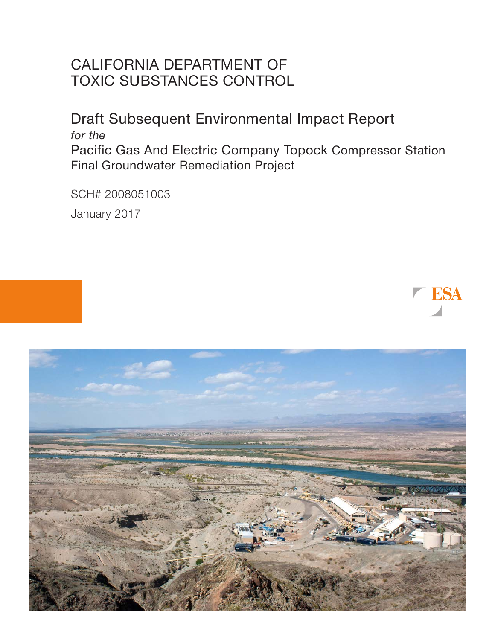# CALIFORNIA DEPARTMENT OF TOXIC SUBSTANCES CONTROL

Draft Subsequent Environmental Impact Report *for the* Pacific Gas And Electric Company Topock Compressor Station Final Groundwater Remediation Project

SCH# 2008051003

January 2017



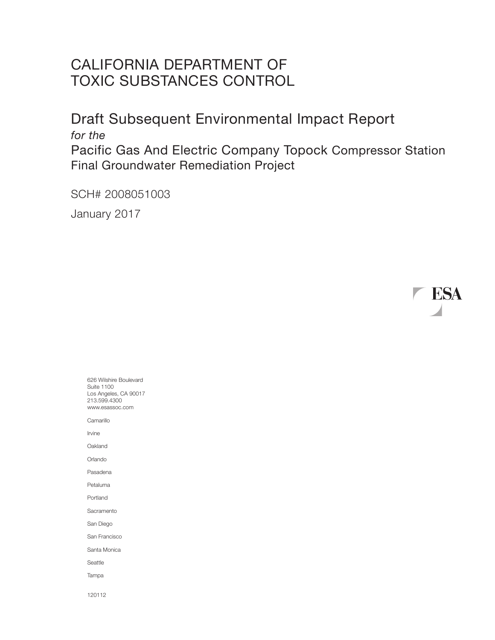# CALIFORNIA DEPARTMENT OF TOXIC SUBSTANCES CONTROL

Draft Subsequent Environmental Impact Report *for the* Pacific Gas And Electric Company Topock Compressor Station Final Groundwater Remediation Project

SCH# 2008051003

January 2017

ESA

626 Wilshire Boulevard Suite 1100 Los Angeles, CA 90017 213.599.4300 www.esassoc.com **Camarillo** Irvine **Oakland** Orlando Pasadena Petaluma Portland Sacramento San Diego San Francisco Santa Monica Seattle Tampa 120112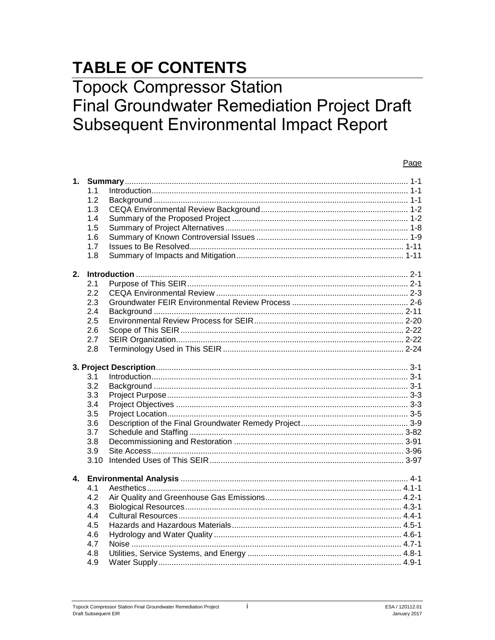# **TABLE OF CONTENTS**

# **Topock Compressor Station Final Groundwater Remediation Project Draft Subsequent Environmental Impact Report**

#### Page

| 1.             |      |  |
|----------------|------|--|
|                | 1.1  |  |
|                | 1.2  |  |
|                | 1.3  |  |
|                | 1.4  |  |
|                | 1.5  |  |
|                | 1.6  |  |
|                | 1.7  |  |
|                | 1.8  |  |
| 2.             |      |  |
|                | 2.1  |  |
|                | 2.2  |  |
|                | 2.3  |  |
|                | 2.4  |  |
|                | 2.5  |  |
|                | 2.6  |  |
|                | 2.7  |  |
|                | 2.8  |  |
|                |      |  |
|                |      |  |
|                | 3.1  |  |
|                | 3.2  |  |
|                | 3.3  |  |
|                | 3.4  |  |
|                | 3.5  |  |
|                | 3.6  |  |
|                | 3.7  |  |
|                | 3.8  |  |
|                | 3.9  |  |
|                | 3.10 |  |
| $\mathbf{4}$ . |      |  |
|                | 4.1  |  |
|                | 4.2  |  |
|                | 4.3  |  |
|                | 4.4  |  |
|                | 4.5  |  |
|                | 4.6  |  |
|                | 4.7  |  |
|                | 4.8  |  |
|                | 4.9  |  |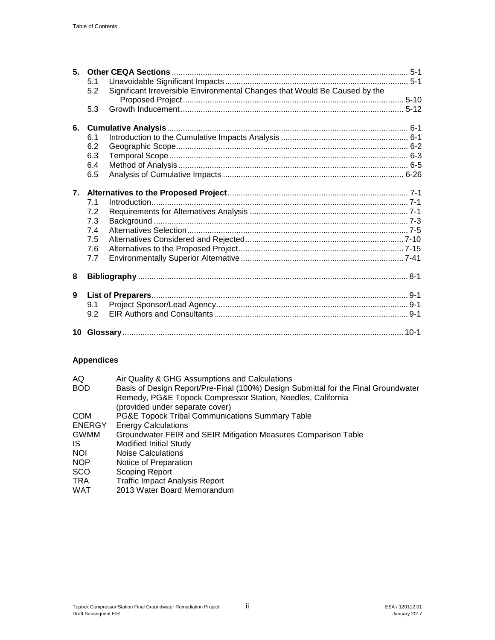| 5 <sub>1</sub> | 5.1<br>Significant Irreversible Environmental Changes that Would Be Caused by the<br>5.2 |  |  |
|----------------|------------------------------------------------------------------------------------------|--|--|
|                | 5.3                                                                                      |  |  |
| 6.             |                                                                                          |  |  |
|                | 6.1                                                                                      |  |  |
|                | 6.2                                                                                      |  |  |
|                | 6.3                                                                                      |  |  |
|                | 6.4                                                                                      |  |  |
|                | 6.5                                                                                      |  |  |
|                |                                                                                          |  |  |
|                | 7.1                                                                                      |  |  |
|                | 7.2                                                                                      |  |  |
|                | 7.3                                                                                      |  |  |
|                | 7.4                                                                                      |  |  |
|                | 7.5                                                                                      |  |  |
|                | 7.6                                                                                      |  |  |
|                | 7.7                                                                                      |  |  |
| 8              |                                                                                          |  |  |
| 9              |                                                                                          |  |  |
|                | 9.1                                                                                      |  |  |
|                | 9.2                                                                                      |  |  |
|                |                                                                                          |  |  |

## **Appendices**

| AQ            | Air Quality & GHG Assumptions and Calculations                                     |
|---------------|------------------------------------------------------------------------------------|
| <b>BOD</b>    | Basis of Design Report/Pre-Final (100%) Design Submittal for the Final Groundwater |
|               | Remedy, PG&E Topock Compressor Station, Needles, California                        |
|               | (provided under separate cover)                                                    |
| COM           | <b>PG&amp;E Topock Tribal Communications Summary Table</b>                         |
| <b>ENERGY</b> | <b>Energy Calculations</b>                                                         |
| <b>GWMM</b>   | Groundwater FEIR and SEIR Mitigation Measures Comparison Table                     |
| IS.           | Modified Initial Study                                                             |
| <b>NOI</b>    | Noise Calculations                                                                 |
| NOP           | Notice of Preparation                                                              |
| SCO           | Scoping Report                                                                     |
| TRA           | <b>Traffic Impact Analysis Report</b>                                              |
| WAT           | 2013 Water Board Memorandum                                                        |
|               |                                                                                    |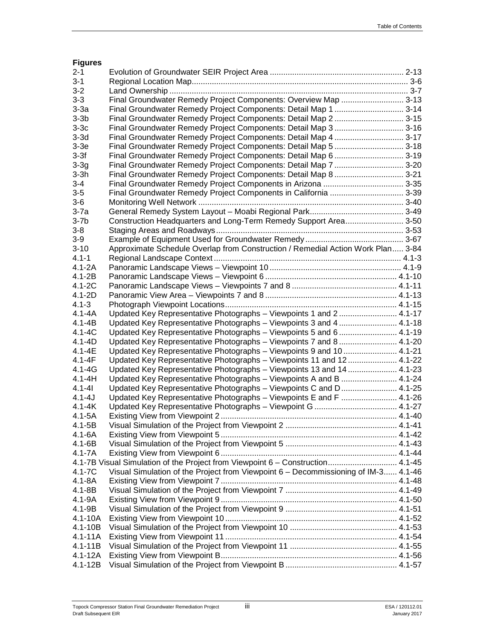| <b>Figures</b> |                                                                                    |  |
|----------------|------------------------------------------------------------------------------------|--|
| $2 - 1$        |                                                                                    |  |
| $3 - 1$        |                                                                                    |  |
| $3 - 2$        |                                                                                    |  |
| $3 - 3$        | Final Groundwater Remedy Project Components: Overview Map  3-13                    |  |
| $3-3a$         | Final Groundwater Remedy Project Components: Detail Map 1  3-14                    |  |
| $3-3b$         | Final Groundwater Remedy Project Components: Detail Map 2 3-15                     |  |
| $3-3c$         | Final Groundwater Remedy Project Components: Detail Map 3 3-16                     |  |
| $3-3d$         |                                                                                    |  |
| $3-3e$         | Final Groundwater Remedy Project Components: Detail Map 5  3-18                    |  |
| $3-3f$         | Final Groundwater Remedy Project Components: Detail Map 6  3-19                    |  |
| $3-3g$         | Final Groundwater Remedy Project Components: Detail Map 7  3-20                    |  |
| $3-3h$         | Final Groundwater Remedy Project Components: Detail Map 8 3-21                     |  |
| $3 - 4$        |                                                                                    |  |
| $3-5$          | Final Groundwater Remedy Project Components in California  3-39                    |  |
| $3-6$          |                                                                                    |  |
| $3-7a$         |                                                                                    |  |
| $3-7b$         | Construction Headquarters and Long-Term Remedy Support Area 3-50                   |  |
| $3 - 8$        |                                                                                    |  |
| $3-9$          |                                                                                    |  |
| $3 - 10$       | Approximate Schedule Overlap from Construction / Remedial Action Work Plan 3-84    |  |
| $4.1 - 1$      |                                                                                    |  |
| $4.1 - 2A$     |                                                                                    |  |
| $4.1 - 2B$     |                                                                                    |  |
| 4.1-2C         |                                                                                    |  |
| 4.1-2D         |                                                                                    |  |
| $4.1 - 3$      |                                                                                    |  |
| $4.1 - 4A$     | Updated Key Representative Photographs - Viewpoints 1 and 2 4.1-17                 |  |
| $4.1 - 4B$     | Updated Key Representative Photographs - Viewpoints 3 and 4  4.1-18                |  |
| $4.1 - 4C$     | Updated Key Representative Photographs - Viewpoints 5 and 6 4.1-19                 |  |
| $4.1 - 4D$     | Updated Key Representative Photographs - Viewpoints 7 and 8  4.1-20                |  |
| $4.1 - 4E$     | Updated Key Representative Photographs - Viewpoints 9 and 10  4.1-21               |  |
| $4.1 - 4F$     | Updated Key Representative Photographs - Viewpoints 11 and 12 4.1-22               |  |
| $4.1 - 4G$     | Updated Key Representative Photographs - Viewpoints 13 and 14  4.1-23              |  |
| $4.1 - 4H$     | Updated Key Representative Photographs - Viewpoints A and B  4.1-24                |  |
| $4.1 - 41$     | Updated Key Representative Photographs - Viewpoints C and D 4.1-25                 |  |
| $4.1 - 4J$     | Updated Key Representative Photographs - Viewpoints E and F  4.1-26                |  |
| $4.1 - 4K$     |                                                                                    |  |
| $4.1 - 5A$     |                                                                                    |  |
| $4.1 - 5B$     |                                                                                    |  |
| $4.1 - 6A$     |                                                                                    |  |
| $4.1 - 6B$     |                                                                                    |  |
| $4.1 - 7A$     |                                                                                    |  |
|                | 4.1-7B Visual Simulation of the Project from Viewpoint 6 - Construction 4.1-45     |  |
| 4.1-7C         | Visual Simulation of the Project from Viewpoint 6 - Decommissioning of IM-3 4.1-46 |  |
| $4.1 - 8A$     |                                                                                    |  |
| 4.1-8B         |                                                                                    |  |
| 4.1-9A         |                                                                                    |  |
| 4.1-9B         |                                                                                    |  |
| $4.1 - 10A$    |                                                                                    |  |
| $4.1 - 10B$    |                                                                                    |  |
| $4.1 - 11A$    |                                                                                    |  |
| $4.1 - 11B$    |                                                                                    |  |
| $4.1 - 12A$    |                                                                                    |  |
| $4.1 - 12B$    |                                                                                    |  |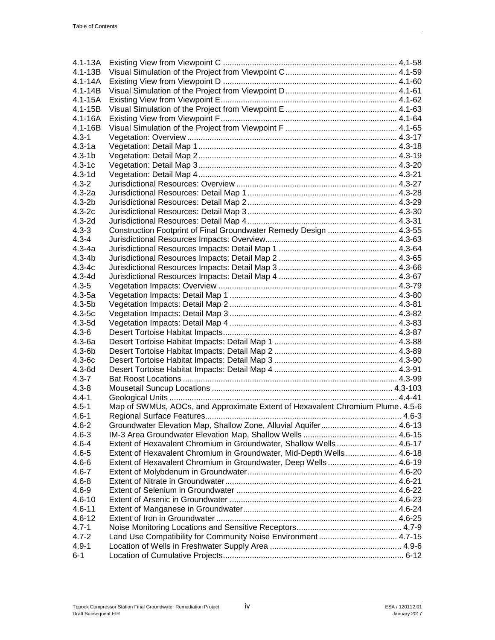| $4.1 - 13A$             |                                                                                |        |
|-------------------------|--------------------------------------------------------------------------------|--------|
| $4.1 - 13B$             |                                                                                |        |
| $4.1 - 14A$             |                                                                                |        |
| $4.1 - 14B$             |                                                                                |        |
| $4.1 - 15A$             |                                                                                |        |
| $4.1 - 15B$             |                                                                                |        |
| 4.1-16A                 |                                                                                |        |
| $4.1 - 16B$             |                                                                                |        |
| $4.3 - 1$               |                                                                                |        |
| $4.3 - 1a$              |                                                                                |        |
| $4.3 - 1b$              |                                                                                |        |
| $4.3 - 1c$              |                                                                                |        |
| $4.3 - 1d$              |                                                                                |        |
| $4.3 - 2$               |                                                                                |        |
| $4.3 - 2a$              |                                                                                |        |
| $4.3 - 2b$              |                                                                                |        |
| $4.3 - 2c$              |                                                                                |        |
| $4.3 - 2d$              |                                                                                |        |
| $4.3 - 3$               | Construction Footprint of Final Groundwater Remedy Design  4.3-55              |        |
| $4.3 - 4$               |                                                                                |        |
| $4.3 - 4a$              |                                                                                |        |
| $4.3 - 4b$              |                                                                                |        |
| $4.3 - 4c$              |                                                                                |        |
| $4.3 - 4d$              |                                                                                |        |
|                         |                                                                                |        |
| $4.3 - 5$<br>$4.3 - 5a$ |                                                                                |        |
|                         |                                                                                |        |
| $4.3 - 5b$              |                                                                                |        |
| $4.3 - 5c$              |                                                                                |        |
| $4.3 - 5d$              |                                                                                |        |
| $4.3 - 6$               |                                                                                |        |
| $4.3 - 6a$              |                                                                                |        |
| $4.3 - 6b$              |                                                                                |        |
| $4.3 - 6c$              |                                                                                |        |
| $4.3 - 6d$              |                                                                                |        |
| $4.3 - 7$               |                                                                                |        |
| $4.3 - 8$               |                                                                                |        |
| $4.4 - 1$               |                                                                                |        |
| $4.5 - 1$               | Map of SWMUs, AOCs, and Approximate Extent of Hexavalent Chromium Plume. 4.5-6 |        |
| 4.6-1                   | Regional Surface Features                                                      | $46-3$ |
| $4.6 - 2$               | Groundwater Elevation Map, Shallow Zone, Alluvial Aquifer 4.6-13               |        |
| $4.6 - 3$               |                                                                                |        |
| $4.6 - 4$               | Extent of Hexavalent Chromium in Groundwater, Shallow Wells  4.6-17            |        |
| $4.6 - 5$               | Extent of Hexavalent Chromium in Groundwater, Mid-Depth Wells 4.6-18           |        |
| $4.6 - 6$               | Extent of Hexavalent Chromium in Groundwater, Deep Wells 4.6-19                |        |
| $4.6 - 7$               |                                                                                |        |
| $4.6 - 8$               |                                                                                |        |
| $4.6 - 9$               |                                                                                |        |
| $4.6 - 10$              |                                                                                |        |
| $4.6 - 11$              |                                                                                |        |
| $4.6 - 12$              |                                                                                |        |
| $4.7 - 1$               |                                                                                |        |
| $4.7 - 2$               | Land Use Compatibility for Community Noise Environment  4.7-15                 |        |
| $4.9 - 1$               |                                                                                |        |
| $6 - 1$                 |                                                                                |        |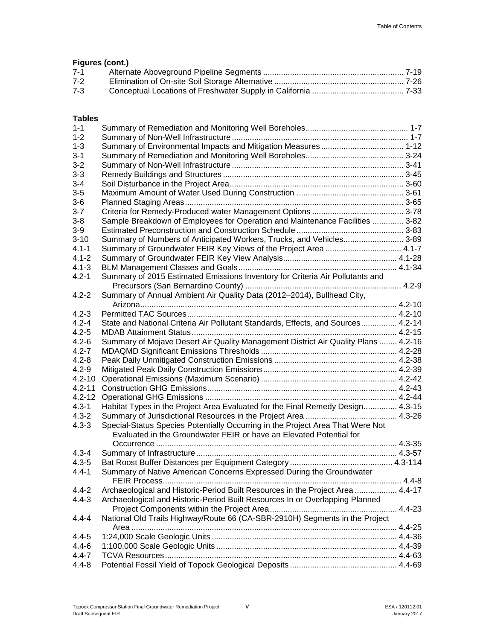### **Figures (cont.)**

| 7-1   |  |
|-------|--|
| $7-2$ |  |
| $7-3$ |  |
|       |  |

#### **Tables**

| $1 - 1$    |                                                                                    |  |
|------------|------------------------------------------------------------------------------------|--|
| $1 - 2$    |                                                                                    |  |
| $1 - 3$    |                                                                                    |  |
| $3 - 1$    |                                                                                    |  |
| $3 - 2$    |                                                                                    |  |
| $3 - 3$    |                                                                                    |  |
| $3 - 4$    |                                                                                    |  |
| $3-5$      |                                                                                    |  |
| $3-6$      |                                                                                    |  |
| $3 - 7$    |                                                                                    |  |
| $3 - 8$    | Sample Breakdown of Employees for Operation and Maintenance Facilities  3-82       |  |
| $3-9$      |                                                                                    |  |
| $3 - 10$   | Summary of Numbers of Anticipated Workers, Trucks, and Vehicles 3-89               |  |
| $4.1 - 1$  | Summary of Groundwater FEIR Key Views of the Project Area  4.1-7                   |  |
| $4.1 - 2$  |                                                                                    |  |
| $4.1 - 3$  |                                                                                    |  |
| $4.2 - 1$  | Summary of 2015 Estimated Emissions Inventory for Criteria Air Pollutants and      |  |
|            |                                                                                    |  |
| $4.2 - 2$  | Summary of Annual Ambient Air Quality Data (2012-2014), Bullhead City,             |  |
|            |                                                                                    |  |
| $4.2 - 3$  |                                                                                    |  |
| $4.2 - 4$  | State and National Criteria Air Pollutant Standards, Effects, and Sources 4.2-14   |  |
| $4.2 - 5$  |                                                                                    |  |
| $4.2 - 6$  | Summary of Mojave Desert Air Quality Management District Air Quality Plans  4.2-16 |  |
| $4.2 - 7$  |                                                                                    |  |
| $4.2 - 8$  |                                                                                    |  |
| $4.2 - 9$  |                                                                                    |  |
| $4.2 - 10$ |                                                                                    |  |
| $4.2 - 11$ |                                                                                    |  |
| $4.2 - 12$ |                                                                                    |  |
| $4.3 - 1$  | Habitat Types in the Project Area Evaluated for the Final Remedy Design 4.3-15     |  |
| $4.3 - 2$  |                                                                                    |  |
| $4.3 - 3$  | Special-Status Species Potentially Occurring in the Project Area That Were Not     |  |
|            | Evaluated in the Groundwater FEIR or have an Elevated Potential for                |  |
|            |                                                                                    |  |
| $4.3 - 4$  |                                                                                    |  |
| $4.3 - 5$  |                                                                                    |  |
| $4.4 - 1$  | Summary of Native American Concerns Expressed During the Groundwater               |  |
|            |                                                                                    |  |
| $4.4 - 2$  | Archaeological and Historic-Period Built Resources in the Project Area  4.4-17     |  |
| $4.4 - 3$  | Archaeological and Historic-Period Built Resources In or Overlapping Planned       |  |
|            |                                                                                    |  |
| $4.4 - 4$  | National Old Trails Highway/Route 66 (CA-SBR-2910H) Segments in the Project        |  |
|            |                                                                                    |  |
| $4.4 - 5$  |                                                                                    |  |
| $4.4 - 6$  |                                                                                    |  |
| $4.4 - 7$  |                                                                                    |  |
| $4.4 - 8$  |                                                                                    |  |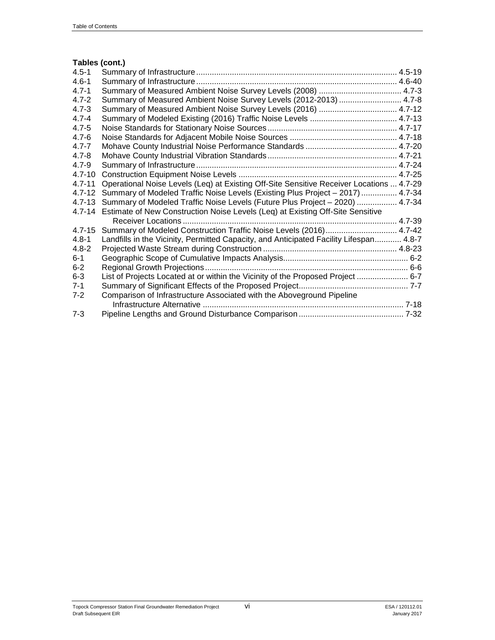#### **Tables (cont.)**

| $4.5 - 1$  |                                                                                          |
|------------|------------------------------------------------------------------------------------------|
| $4.6 - 1$  |                                                                                          |
| $4.7 - 1$  |                                                                                          |
| $4.7 - 2$  | Summary of Measured Ambient Noise Survey Levels (2012-2013)  4.7-8                       |
| $4.7 - 3$  | Summary of Measured Ambient Noise Survey Levels (2016)  4.7-12                           |
| $4.7 - 4$  |                                                                                          |
| $4.7 - 5$  |                                                                                          |
| $4.7 - 6$  |                                                                                          |
| $4.7 - 7$  |                                                                                          |
| $4.7 - 8$  |                                                                                          |
| 4.7-9      |                                                                                          |
| $4.7 - 10$ |                                                                                          |
| $4.7 - 11$ | Operational Noise Levels (Leq) at Existing Off-Site Sensitive Receiver Locations  4.7-29 |
| 4.7-12     | Summary of Modeled Traffic Noise Levels (Existing Plus Project - 2017)  4.7-34           |
| $4.7 - 13$ | Summary of Modeled Traffic Noise Levels (Future Plus Project - 2020)  4.7-34             |
| $4.7 - 14$ | Estimate of New Construction Noise Levels (Leq) at Existing Off-Site Sensitive           |
|            |                                                                                          |
| $4.7 - 15$ | Summary of Modeled Construction Traffic Noise Levels (2016) 4.7-42                       |
| $4.8 - 1$  | Landfills in the Vicinity, Permitted Capacity, and Anticipated Facility Lifespan 4.8-7   |
| $4.8 - 2$  |                                                                                          |
| $6 - 1$    |                                                                                          |
| $6-2$      |                                                                                          |
| $6 - 3$    | List of Projects Located at or within the Vicinity of the Proposed Project  6-7          |
| $7 - 1$    |                                                                                          |
| $7-2$      | Comparison of Infrastructure Associated with the Aboveground Pipeline                    |
|            |                                                                                          |
| $7 - 3$    |                                                                                          |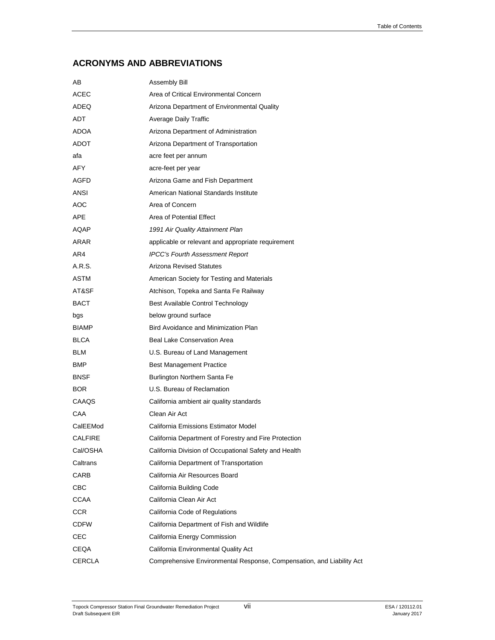### **ACRONYMS AND ABBREVIATIONS**

| AВ            | Assembly Bill                                                         |
|---------------|-----------------------------------------------------------------------|
| ACEC          | Area of Critical Environmental Concern                                |
| ADEQ          | Arizona Department of Environmental Quality                           |
| <b>ADT</b>    | Average Daily Traffic                                                 |
| <b>ADOA</b>   | Arizona Department of Administration                                  |
| <b>ADOT</b>   | Arizona Department of Transportation                                  |
| afa           | acre feet per annum                                                   |
| <b>AFY</b>    | acre-feet per year                                                    |
| <b>AGFD</b>   | Arizona Game and Fish Department                                      |
| ANSI          | American National Standards Institute                                 |
| AOC           | Area of Concern                                                       |
| <b>APE</b>    | Area of Potential Effect                                              |
| AQAP          | 1991 Air Quality Attainment Plan                                      |
| ARAR          | applicable or relevant and appropriate requirement                    |
| AR4           | <b>IPCC's Fourth Assessment Report</b>                                |
| A.R.S.        | <b>Arizona Revised Statutes</b>                                       |
| ASTM          | American Society for Testing and Materials                            |
| AT&SF         | Atchison, Topeka and Santa Fe Railway                                 |
| BACT          | Best Available Control Technology                                     |
| bgs           | below ground surface                                                  |
| <b>BIAMP</b>  | Bird Avoidance and Minimization Plan                                  |
| BLCA          | Beal Lake Conservation Area                                           |
| <b>BLM</b>    | U.S. Bureau of Land Management                                        |
| BMP           | <b>Best Management Practice</b>                                       |
| <b>BNSF</b>   | Burlington Northern Santa Fe                                          |
| <b>BOR</b>    | U.S. Bureau of Reclamation                                            |
| CAAQS         | California ambient air quality standards                              |
| CAA           | Clean Air Act                                                         |
| CalEEMod      | California Emissions Estimator Model                                  |
| CALFIRE       | California Department of Forestry and Fire Protection                 |
| Cal/OSHA      | California Division of Occupational Safety and Health                 |
| Caltrans      | California Department of Transportation                               |
| CARB          | California Air Resources Board                                        |
| CBC           | California Building Code                                              |
| <b>CCAA</b>   | California Clean Air Act                                              |
| <b>CCR</b>    | California Code of Regulations                                        |
| CDFW          | California Department of Fish and Wildlife                            |
| CEC           | California Energy Commission                                          |
| CEQA          | California Environmental Quality Act                                  |
| <b>CERCLA</b> | Comprehensive Environmental Response, Compensation, and Liability Act |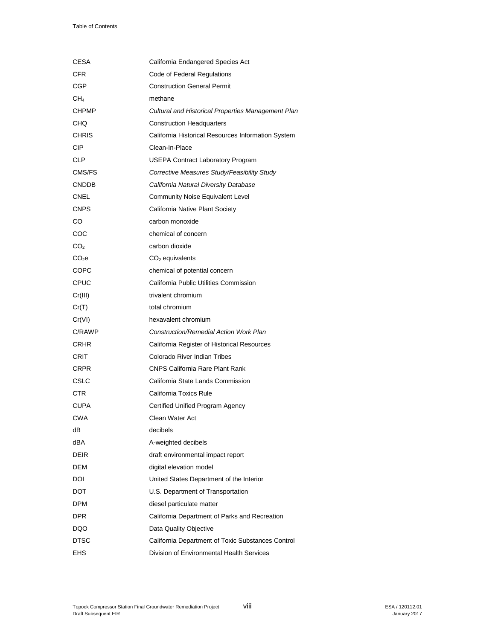| CESA              | California Endangered Species Act                  |
|-------------------|----------------------------------------------------|
| <b>CFR</b>        | Code of Federal Regulations                        |
| CGP               | <b>Construction General Permit</b>                 |
| CH <sub>4</sub>   | methane                                            |
| <b>CHPMP</b>      | Cultural and Historical Properties Management Plan |
| CHQ               | <b>Construction Headquarters</b>                   |
| <b>CHRIS</b>      | California Historical Resources Information System |
| <b>CIP</b>        | Clean-In-Place                                     |
| <b>CLP</b>        | <b>USEPA Contract Laboratory Program</b>           |
| CMS/FS            | Corrective Measures Study/Feasibility Study        |
| <b>CNDDB</b>      | California Natural Diversity Database              |
| CNEL              | Community Noise Equivalent Level                   |
| <b>CNPS</b>       | California Native Plant Society                    |
| CO                | carbon monoxide                                    |
| COC               | chemical of concern                                |
| CO <sub>2</sub>   | carbon dioxide                                     |
| CO <sub>2</sub> e | $CO2$ equivalents                                  |
| COPC              | chemical of potential concern                      |
| <b>CPUC</b>       | California Public Utilities Commission             |
| Cr(III)           | trivalent chromium                                 |
| Cr(T)             | total chromium                                     |
| Cr(VI)            | hexavalent chromium                                |
| C/RAWP            | Construction/Remedial Action Work Plan             |
| <b>CRHR</b>       | California Register of Historical Resources        |
| CRIT              | Colorado River Indian Tribes                       |
| <b>CRPR</b>       | <b>CNPS California Rare Plant Rank</b>             |
| CSLC              | California State Lands Commission                  |
| <b>CTR</b>        | California Toxics Rule                             |
| <b>CUPA</b>       | Certified Unified Program Agency                   |
| <b>CWA</b>        | Clean Water Act                                    |
| dВ                | decibels                                           |
| dBA               | A-weighted decibels                                |
| <b>DEIR</b>       | draft environmental impact report                  |
| DEM               | digital elevation model                            |
| DOI               | United States Department of the Interior           |
| <b>DOT</b>        | U.S. Department of Transportation                  |
| DPM               | diesel particulate matter                          |
| DPR               | California Department of Parks and Recreation      |
| DQO               | Data Quality Objective                             |
| <b>DTSC</b>       | California Department of Toxic Substances Control  |
| EHS               | Division of Environmental Health Services          |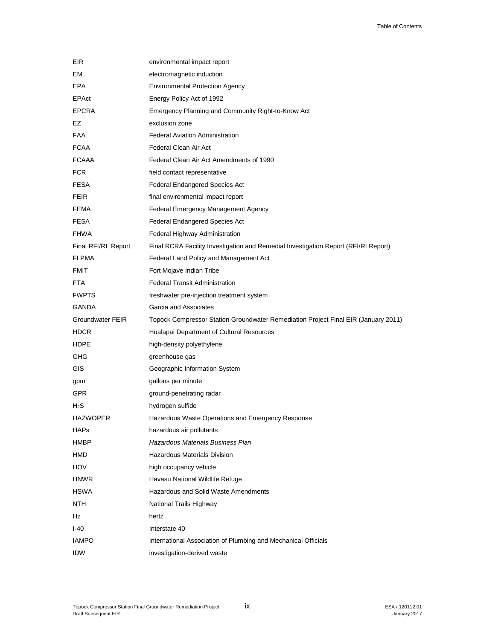| EIR                 | environmental impact report                                                         |
|---------------------|-------------------------------------------------------------------------------------|
| EM                  | electromagnetic induction                                                           |
| EPA                 | <b>Environmental Protection Agency</b>                                              |
| EPAct               | Energy Policy Act of 1992                                                           |
| <b>EPCRA</b>        | Emergency Planning and Community Right-to-Know Act                                  |
| EZ                  | exclusion zone                                                                      |
| <b>FAA</b>          | <b>Federal Aviation Administration</b>                                              |
| <b>FCAA</b>         | Federal Clean Air Act                                                               |
| <b>FCAAA</b>        | Federal Clean Air Act Amendments of 1990                                            |
| <b>FCR</b>          | field contact representative                                                        |
| <b>FESA</b>         | <b>Federal Endangered Species Act</b>                                               |
| <b>FEIR</b>         | final environmental impact report                                                   |
| FEMA                | Federal Emergency Management Agency                                                 |
| <b>FESA</b>         | <b>Federal Endangered Species Act</b>                                               |
| <b>FHWA</b>         | Federal Highway Administration                                                      |
| Final RFI/RI Report | Final RCRA Facility Investigation and Remedial Investigation Report (RFI/RI Report) |
| <b>FLPMA</b>        | Federal Land Policy and Management Act                                              |
| <b>FMIT</b>         | Fort Mojave Indian Tribe                                                            |
| <b>FTA</b>          | <b>Federal Transit Administration</b>                                               |
| <b>FWPTS</b>        | freshwater pre-injection treatment system                                           |
| GANDA               | Garcia and Associates                                                               |
| Groundwater FEIR    | Topock Compressor Station Groundwater Remediation Project Final EIR (January 2011)  |
| <b>HDCR</b>         | Hualapai Department of Cultural Resources                                           |
| <b>HDPE</b>         | high-density polyethylene                                                           |
| GHG                 | greenhouse gas                                                                      |
| <b>GIS</b>          | Geographic Information System                                                       |
| gpm                 | gallons per minute                                                                  |
| GPR.                | ground-penetrating radar                                                            |
| $H_2S$              | hydrogen sulfide                                                                    |
| <b>HAZWOPER</b>     | Hazardous Waste Operations and Emergency Response                                   |
| <b>HAPs</b>         | hazardous air pollutants                                                            |
| <b>HMBP</b>         | <b>Hazardous Materials Business Plan</b>                                            |
| HMD                 | <b>Hazardous Materials Division</b>                                                 |
| HOV                 | high occupancy vehicle                                                              |
| <b>HNWR</b>         | Havasu National Wildlife Refuge                                                     |
| <b>HSWA</b>         | Hazardous and Solid Waste Amendments                                                |
| NTH                 | National Trails Highway                                                             |
| Hz                  | hertz                                                                               |
| $I-40$              | Interstate 40                                                                       |
| <b>IAMPO</b>        | International Association of Plumbing and Mechanical Officials                      |
| <b>IDW</b>          | investigation-derived waste                                                         |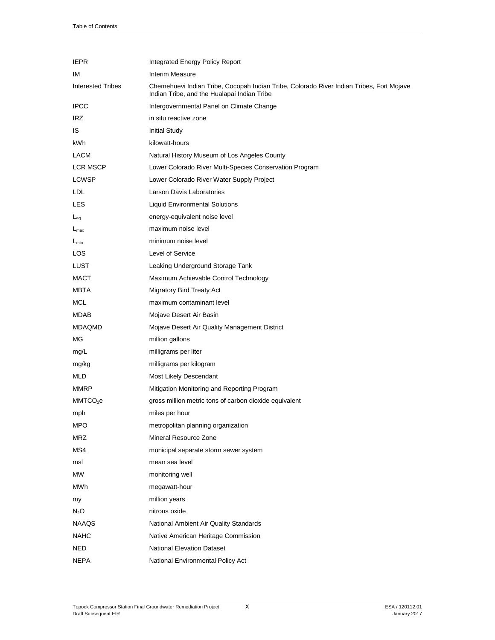| <b>IEPR</b>              | Integrated Energy Policy Report                                                                                                         |
|--------------------------|-----------------------------------------------------------------------------------------------------------------------------------------|
| IM                       | Interim Measure                                                                                                                         |
| <b>Interested Tribes</b> | Chemehuevi Indian Tribe, Cocopah Indian Tribe, Colorado River Indian Tribes, Fort Mojave<br>Indian Tribe, and the Hualapai Indian Tribe |
| <b>IPCC</b>              | Intergovernmental Panel on Climate Change                                                                                               |
| IRZ.                     | in situ reactive zone                                                                                                                   |
| IS                       | <b>Initial Study</b>                                                                                                                    |
| kWh.                     | kilowatt-hours                                                                                                                          |
| LACM                     | Natural History Museum of Los Angeles County                                                                                            |
| <b>LCR MSCP</b>          | Lower Colorado River Multi-Species Conservation Program                                                                                 |
| <b>LCWSP</b>             | Lower Colorado River Water Supply Project                                                                                               |
| LDL.                     | Larson Davis Laboratories                                                                                                               |
| LES                      | <b>Liquid Environmental Solutions</b>                                                                                                   |
| $L_{eq}$                 | energy-equivalent noise level                                                                                                           |
| $L_{\text{max}}$         | maximum noise level                                                                                                                     |
| $L_{min}$                | minimum noise level                                                                                                                     |
| LOS.                     | Level of Service                                                                                                                        |
| LUST                     | Leaking Underground Storage Tank                                                                                                        |
| <b>MACT</b>              | Maximum Achievable Control Technology                                                                                                   |
| MBTA                     | <b>Migratory Bird Treaty Act</b>                                                                                                        |
| MCL                      | maximum contaminant level                                                                                                               |
| MDAB.                    | Mojave Desert Air Basin                                                                                                                 |
| MDAQMD                   | Mojave Desert Air Quality Management District                                                                                           |
| МG                       | million gallons                                                                                                                         |
| mg/L                     | milligrams per liter                                                                                                                    |
| mg/kg                    | milligrams per kilogram                                                                                                                 |
| MLD                      | Most Likely Descendant                                                                                                                  |
| <b>MMRP</b>              | Mitigation Monitoring and Reporting Program                                                                                             |
| MMTCO <sub>2</sub> e     | gross million metric tons of carbon dioxide equivalent                                                                                  |
| mph                      | miles per hour                                                                                                                          |
| MPO                      | metropolitan planning organization                                                                                                      |
| <b>MRZ</b>               | Mineral Resource Zone                                                                                                                   |
| MS4                      | municipal separate storm sewer system                                                                                                   |
| msl                      | mean sea level                                                                                                                          |
| МW                       | monitoring well                                                                                                                         |
| MWh                      | megawatt-hour                                                                                                                           |
| my                       | million years                                                                                                                           |
| $N_2O$                   | nitrous oxide                                                                                                                           |
| NAAQS                    | National Ambient Air Quality Standards                                                                                                  |
| <b>NAHC</b>              | Native American Heritage Commission                                                                                                     |
| <b>NED</b>               | <b>National Elevation Dataset</b>                                                                                                       |
| <b>NEPA</b>              | National Environmental Policy Act                                                                                                       |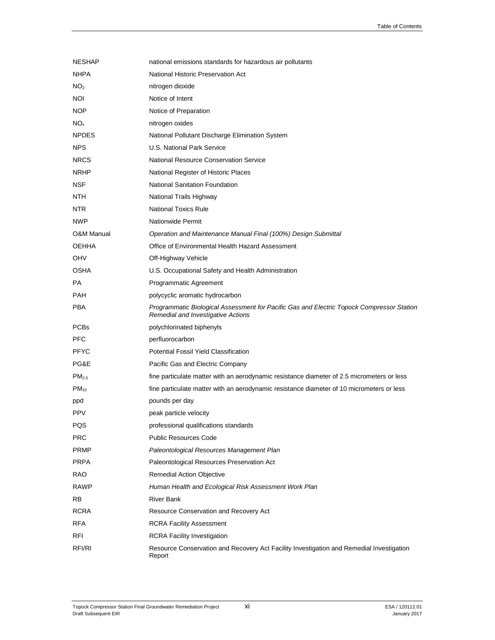| <b>NESHAP</b>     | national emissions standards for hazardous air pollutants                                                                       |
|-------------------|---------------------------------------------------------------------------------------------------------------------------------|
| <b>NHPA</b>       | National Historic Preservation Act                                                                                              |
| NO <sub>2</sub>   | nitrogen dioxide                                                                                                                |
| NOI               | Notice of Intent                                                                                                                |
| NOP               | Notice of Preparation                                                                                                           |
| $NO_{x}$          | nitrogen oxides                                                                                                                 |
| <b>NPDES</b>      | National Pollutant Discharge Elimination System                                                                                 |
| <b>NPS</b>        | U.S. National Park Service                                                                                                      |
| <b>NRCS</b>       | National Resource Conservation Service                                                                                          |
| <b>NRHP</b>       | National Register of Historic Places                                                                                            |
| <b>NSF</b>        | <b>National Sanitation Foundation</b>                                                                                           |
| <b>NTH</b>        | National Trails Highway                                                                                                         |
| NTR.              | <b>National Toxics Rule</b>                                                                                                     |
| <b>NWP</b>        | Nationwide Permit                                                                                                               |
| O&M Manual        | Operation and Maintenance Manual Final (100%) Design Submittal                                                                  |
| <b>OEHHA</b>      | Office of Environmental Health Hazard Assessment                                                                                |
| OHV               | Off-Highway Vehicle                                                                                                             |
| OSHA              | U.S. Occupational Safety and Health Administration                                                                              |
| <b>PA</b>         | Programmatic Agreement                                                                                                          |
| <b>PAH</b>        | polycyclic aromatic hydrocarbon                                                                                                 |
| <b>PBA</b>        | Programmatic Biological Assessment for Pacific Gas and Electric Topock Compressor Station<br>Remedial and Investigative Actions |
| <b>PCBs</b>       | polychlorinated biphenyls                                                                                                       |
| <b>PFC</b>        | perfluorocarbon                                                                                                                 |
| <b>PFYC</b>       | Potential Fossil Yield Classification                                                                                           |
| PG&E              | Pacific Gas and Electric Company                                                                                                |
| PM <sub>2.5</sub> | fine particulate matter with an aerodynamic resistance diameter of 2.5 micrometers or less                                      |
| $PM_{10}$         | fine particulate matter with an aerodynamic resistance diameter of 10 micrometers or less                                       |
| ppd               | pounds per day                                                                                                                  |
| <b>PPV</b>        | peak particle velocity                                                                                                          |
| PQS               | professional qualifications standards                                                                                           |
| <b>PRC</b>        | <b>Public Resources Code</b>                                                                                                    |
| PRMP              | Paleontological Resources Management Plan                                                                                       |
| <b>PRPA</b>       | Paleontological Resources Preservation Act                                                                                      |
| RAO               | Remedial Action Objective                                                                                                       |
| <b>RAWP</b>       | Human Health and Ecological Risk Assessment Work Plan                                                                           |
| RB                | <b>River Bank</b>                                                                                                               |
| <b>RCRA</b>       | Resource Conservation and Recovery Act                                                                                          |
| <b>RFA</b>        | <b>RCRA Facility Assessment</b>                                                                                                 |
| RFI               | <b>RCRA Facility Investigation</b>                                                                                              |
| RFI/RI            | Resource Conservation and Recovery Act Facility Investigation and Remedial Investigation<br>Report                              |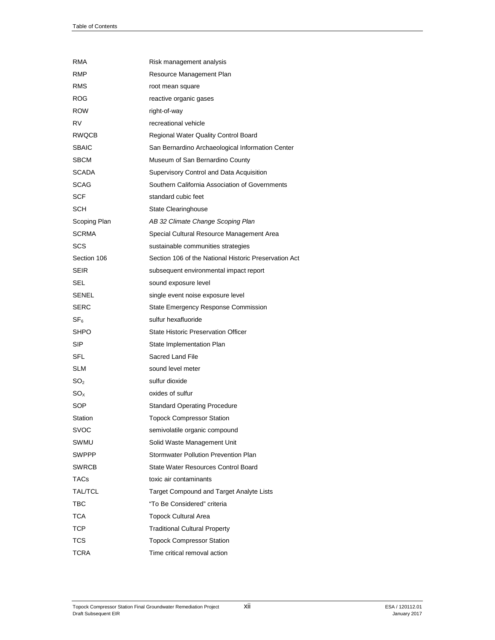| RMA             | Risk management analysis                              |
|-----------------|-------------------------------------------------------|
| RMP             | Resource Management Plan                              |
| RMS             | root mean square                                      |
| <b>ROG</b>      | reactive organic gases                                |
| <b>ROW</b>      | right-of-way                                          |
| RV              | recreational vehicle                                  |
| <b>RWQCB</b>    | Regional Water Quality Control Board                  |
| <b>SBAIC</b>    | San Bernardino Archaeological Information Center      |
| SBCM            | Museum of San Bernardino County                       |
| <b>SCADA</b>    | Supervisory Control and Data Acquisition              |
| <b>SCAG</b>     | Southern California Association of Governments        |
| <b>SCF</b>      | standard cubic feet                                   |
| SCH             | <b>State Clearinghouse</b>                            |
| Scoping Plan    | AB 32 Climate Change Scoping Plan                     |
| <b>SCRMA</b>    | Special Cultural Resource Management Area             |
| SCS             | sustainable communities strategies                    |
| Section 106     | Section 106 of the National Historic Preservation Act |
| <b>SEIR</b>     | subsequent environmental impact report                |
| SEL             | sound exposure level                                  |
| SENEL           | single event noise exposure level                     |
| <b>SERC</b>     | State Emergency Response Commission                   |
| $\mathsf{SF}_6$ | sulfur hexafluoride                                   |
| SHPO            | <b>State Historic Preservation Officer</b>            |
| SIP             | State Implementation Plan                             |
| SFL             | Sacred Land File                                      |
| SLM             | sound level meter                                     |
| SO <sub>2</sub> | sulfur dioxide                                        |
| $SO_{X}$        | oxides of sulfur                                      |
| SOP             | <b>Standard Operating Procedure</b>                   |
| Station         | <b>Topock Compressor Station</b>                      |
| SVOC            | semivolatile organic compound                         |
| SWMU            | Solid Waste Management Unit                           |
| <b>SWPPP</b>    | Stormwater Pollution Prevention Plan                  |
| <b>SWRCB</b>    | State Water Resources Control Board                   |
| TACs            | toxic air contaminants                                |
| TAL/TCL         | Target Compound and Target Analyte Lists              |
| ТВС             | "To Be Considered" criteria                           |
| TCA             | <b>Topock Cultural Area</b>                           |
| TCP             | <b>Traditional Cultural Property</b>                  |
| TCS             | <b>Topock Compressor Station</b>                      |
| TCRA            | Time critical removal action                          |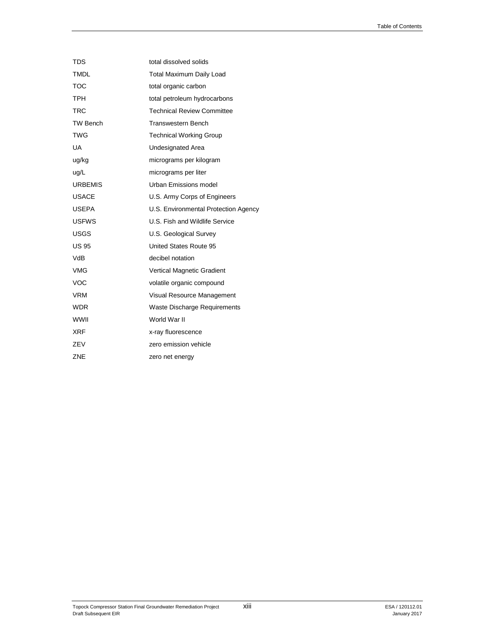| <b>TDS</b>      | total dissolved solids               |
|-----------------|--------------------------------------|
| <b>TMDL</b>     | <b>Total Maximum Daily Load</b>      |
| <b>TOC</b>      | total organic carbon                 |
| <b>TPH</b>      | total petroleum hydrocarbons         |
| <b>TRC</b>      | <b>Technical Review Committee</b>    |
| <b>TW Bench</b> | <b>Transwestern Bench</b>            |
| <b>TWG</b>      | <b>Technical Working Group</b>       |
| UA              | Undesignated Area                    |
| ug/kg           | micrograms per kilogram              |
| ug/L            | micrograms per liter                 |
| <b>URBEMIS</b>  | Urban Emissions model                |
| <b>USACE</b>    | U.S. Army Corps of Engineers         |
| <b>USEPA</b>    | U.S. Environmental Protection Agency |
| <b>USFWS</b>    | U.S. Fish and Wildlife Service       |
| <b>USGS</b>     | U.S. Geological Survey               |
| <b>US 95</b>    | United States Route 95               |
| VdB             | decibel notation                     |
| <b>VMG</b>      | Vertical Magnetic Gradient           |
| <b>VOC</b>      | volatile organic compound            |
| <b>VRM</b>      | Visual Resource Management           |
| WDR             | Waste Discharge Requirements         |
| <b>WWII</b>     | World War II                         |
| XRF             | x-ray fluorescence                   |
| ZEV             | zero emission vehicle                |
| ZNE             | zero net energy                      |